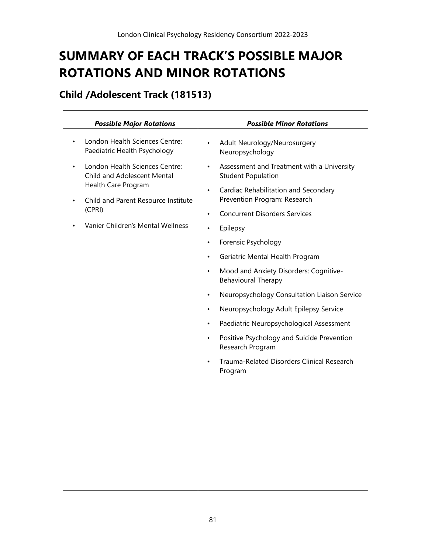# **SUMMARY OF EACH TRACK'S POSSIBLE MAJOR ROTATIONS AND MINOR ROTATIONS**

#### **Child /Adolescent Track (181513)**

| <b>Possible Major Rotations</b>                                                                                                                                                                                                                           | <b>Possible Minor Rotations</b>                                                                                                                                                                                                                                                                                                                                                                                                                                                                                                                                                                                                                                                                                                                                                             |
|-----------------------------------------------------------------------------------------------------------------------------------------------------------------------------------------------------------------------------------------------------------|---------------------------------------------------------------------------------------------------------------------------------------------------------------------------------------------------------------------------------------------------------------------------------------------------------------------------------------------------------------------------------------------------------------------------------------------------------------------------------------------------------------------------------------------------------------------------------------------------------------------------------------------------------------------------------------------------------------------------------------------------------------------------------------------|
| London Health Sciences Centre:<br>$\bullet$<br>Paediatric Health Psychology<br>London Health Sciences Centre:<br>Child and Adolescent Mental<br>Health Care Program<br>Child and Parent Resource Institute<br>(CPRI)<br>Vanier Children's Mental Wellness | Adult Neurology/Neurosurgery<br>$\bullet$<br>Neuropsychology<br>Assessment and Treatment with a University<br>$\bullet$<br><b>Student Population</b><br>Cardiac Rehabilitation and Secondary<br>$\bullet$<br>Prevention Program: Research<br><b>Concurrent Disorders Services</b><br>$\bullet$<br>Epilepsy<br>$\bullet$<br>Forensic Psychology<br>$\bullet$<br>Geriatric Mental Health Program<br>$\bullet$<br>Mood and Anxiety Disorders: Cognitive-<br><b>Behavioural Therapy</b><br>Neuropsychology Consultation Liaison Service<br>$\bullet$<br>Neuropsychology Adult Epilepsy Service<br>$\bullet$<br>Paediatric Neuropsychological Assessment<br>$\bullet$<br>Positive Psychology and Suicide Prevention<br>Research Program<br>Trauma-Related Disorders Clinical Research<br>Program |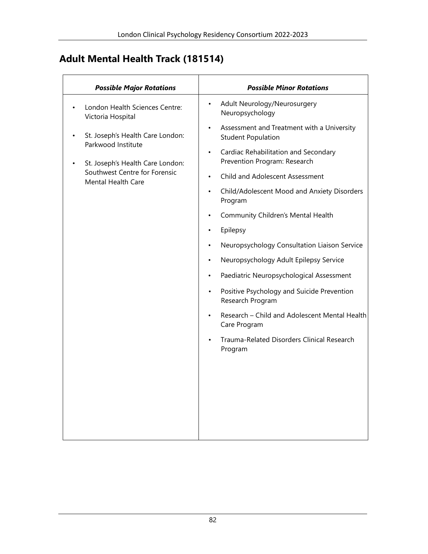#### **Adult Mental Health Track (181514)**

| <b>Possible Major Rotations</b>                                                                                                                                        | <b>Possible Minor Rotations</b>                                                                                                                                                                                                                                                                                                                                                                                                                                                                                                                                                                                                               |
|------------------------------------------------------------------------------------------------------------------------------------------------------------------------|-----------------------------------------------------------------------------------------------------------------------------------------------------------------------------------------------------------------------------------------------------------------------------------------------------------------------------------------------------------------------------------------------------------------------------------------------------------------------------------------------------------------------------------------------------------------------------------------------------------------------------------------------|
| London Health Sciences Centre:                                                                                                                                         | Adult Neurology/Neurosurgery<br>$\bullet$<br>Neuropsychology                                                                                                                                                                                                                                                                                                                                                                                                                                                                                                                                                                                  |
| Victoria Hospital<br>St. Joseph's Health Care London:<br>Parkwood Institute<br>St. Joseph's Health Care London:<br>Southwest Centre for Forensic<br>Mental Health Care | Assessment and Treatment with a University<br><b>Student Population</b><br>Cardiac Rehabilitation and Secondary<br>Prevention Program: Research<br>Child and Adolescent Assessment<br>Child/Adolescent Mood and Anxiety Disorders<br>Program<br>Community Children's Mental Health<br>Epilepsy<br>Neuropsychology Consultation Liaison Service<br>Neuropsychology Adult Epilepsy Service<br>Paediatric Neuropsychological Assessment<br>Positive Psychology and Suicide Prevention<br>$\bullet$<br>Research Program<br>Research - Child and Adolescent Mental Health<br>Care Program<br>Trauma-Related Disorders Clinical Research<br>Program |
|                                                                                                                                                                        |                                                                                                                                                                                                                                                                                                                                                                                                                                                                                                                                                                                                                                               |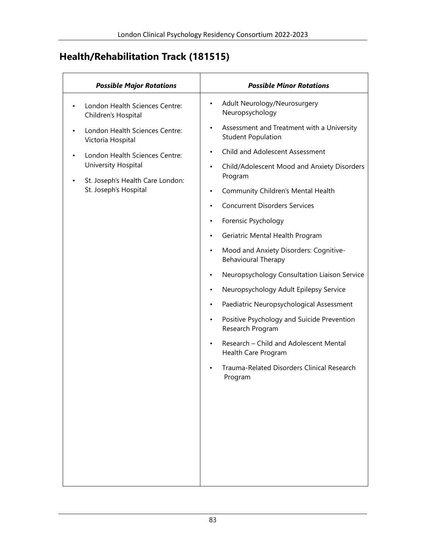## **Health/Rehabilitation Track (181515)**

| <b>Possible Major Rotations</b>                                                           | <b>Possible Minor Rotations</b>                                                   |
|-------------------------------------------------------------------------------------------|-----------------------------------------------------------------------------------|
| London Health Sciences Centre:<br>Children's Hospital                                     | Adult Neurology/Neurosurgery<br>$\bullet$<br>Neuropsychology                      |
| London Health Sciences Centre:<br>Victoria Hospital                                       | Assessment and Treatment with a University<br><b>Student Population</b>           |
| London Health Sciences Centre:<br>University Hospital<br>St. Joseph's Health Care London: | Child and Adolescent Assessment                                                   |
|                                                                                           | Child/Adolescent Mood and Anxiety Disorders<br>$\bullet$<br>Program               |
| St. Joseph's Hospital                                                                     | Community Children's Mental Health<br>$\bullet$                                   |
|                                                                                           | <b>Concurrent Disorders Services</b><br>$\bullet$                                 |
|                                                                                           | Forensic Psychology<br>$\bullet$                                                  |
|                                                                                           | Geriatric Mental Health Program<br>$\bullet$                                      |
|                                                                                           | Mood and Anxiety Disorders: Cognitive-<br>$\bullet$<br><b>Behavioural Therapy</b> |
|                                                                                           | Neuropsychology Consultation Liaison Service                                      |
|                                                                                           | Neuropsychology Adult Epilepsy Service<br>$\bullet$                               |
|                                                                                           | Paediatric Neuropsychological Assessment<br>$\bullet$                             |
|                                                                                           | Positive Psychology and Suicide Prevention<br>$\bullet$<br>Research Program       |
|                                                                                           | Research - Child and Adolescent Mental<br>$\bullet$<br>Health Care Program        |
|                                                                                           | Trauma-Related Disorders Clinical Research<br>Program                             |
|                                                                                           |                                                                                   |
|                                                                                           |                                                                                   |
|                                                                                           |                                                                                   |
|                                                                                           |                                                                                   |
|                                                                                           |                                                                                   |
|                                                                                           |                                                                                   |
|                                                                                           |                                                                                   |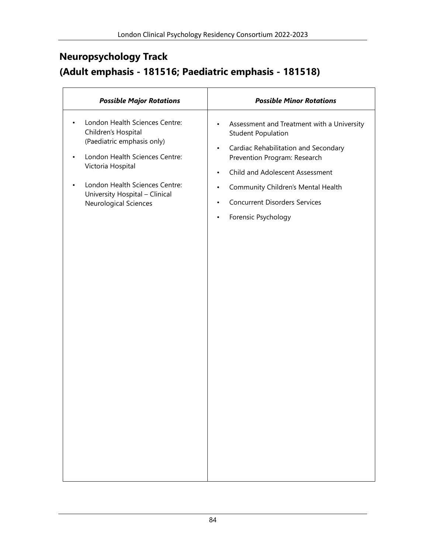### **Neuropsychology Track (Adult emphasis - 181516; Paediatric emphasis - 181518)**

| <b>Possible Major Rotations</b>                                                                                                                                                                                                                                   | <b>Possible Minor Rotations</b>                                                                                                                                                                                                                                                                                                                  |
|-------------------------------------------------------------------------------------------------------------------------------------------------------------------------------------------------------------------------------------------------------------------|--------------------------------------------------------------------------------------------------------------------------------------------------------------------------------------------------------------------------------------------------------------------------------------------------------------------------------------------------|
| London Health Sciences Centre:<br>$\bullet$<br>Children's Hospital<br>(Paediatric emphasis only)<br>London Health Sciences Centre:<br>$\bullet$<br>Victoria Hospital<br>London Health Sciences Centre:<br>University Hospital - Clinical<br>Neurological Sciences | Assessment and Treatment with a University<br>٠<br><b>Student Population</b><br>Cardiac Rehabilitation and Secondary<br>$\bullet$<br>Prevention Program: Research<br>Child and Adolescent Assessment<br>$\bullet$<br>Community Children's Mental Health<br><b>Concurrent Disorders Services</b><br>$\bullet$<br>Forensic Psychology<br>$\bullet$ |